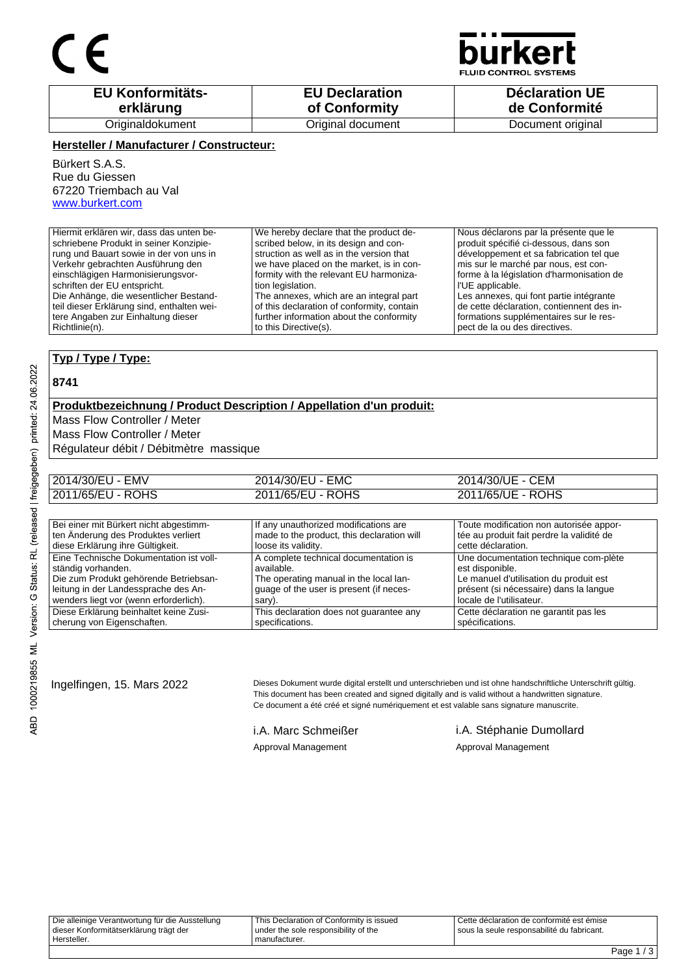## C E



**FLUID CONTROL SYSTEMS** 

| <b>EU Konformitäts-</b> | <b>EU Declaration</b> | <b>Déclaration UE</b> |
|-------------------------|-----------------------|-----------------------|
| erklärung               | of Conformity         | de Conformité         |
| Originaldokument        | Original document     | Document original     |

#### **Hersteller / Manufacturer / Constructeur:**

Bürkert S.A.S. Rue du Giessen 67220 Triembach au Val www.burkert.com

| Hiermit erklären wir, dass das unten be-   | We hereby declare that the product de-     | Nous déclarons par la présente que le     |
|--------------------------------------------|--------------------------------------------|-------------------------------------------|
| schriebene Produkt in seiner Konzipie-     | scribed below, in its design and con-      | produit spécifié ci-dessous, dans son     |
| rung und Bauart sowie in der von uns in    | struction as well as in the version that   | développement et sa fabrication tel que   |
| Verkehr gebrachten Ausführung den          | we have placed on the market, is in con-   | mis sur le marché par nous, est con-      |
| einschlägigen Harmonisierungsvor-          | formity with the relevant EU harmoniza-    | forme à la législation d'harmonisation de |
| schriften der EU entspricht.               | tion legislation.                          | l'UE applicable.                          |
| Die Anhänge, die wesentlicher Bestand-     | The annexes, which are an integral part    | Les annexes, qui font partie intégrante   |
| teil dieser Erklärung sind, enthalten wei- | of this declaration of conformity, contain | de cette déclaration, contiennent des in- |
| tere Angaben zur Einhaltung dieser         | further information about the conformity   | formations supplémentaires sur le res-    |
| Richtlinie(n).                             | to this Directive(s).                      | pect de la ou des directives.             |

### **Typ / Type / Type:**

#### **8741**

ABD 1000219855 ML Version: G Status: RL (released | freigegeben) printed: 24.06.2022

### **Produktbezeichnung / Product Description / Appellation d'un produit:**

Mass Flow Controller / Meter

Mass Flow Controller / Meter

Régulateur débit / Débitmètre massique

| 2014/30/EU - EMV  | 2014/30/EU - EMC  | 2014/30/UE - CEM  |
|-------------------|-------------------|-------------------|
| 2011/65/EU - ROHS | 2011/65/EU - ROHS | 2011/65/UE - ROHS |
|                   |                   |                   |

| Bei einer mit Bürkert nicht abgestimm-  | If any unauthorized modifications are      | Toute modification non autorisée appor-   |
|-----------------------------------------|--------------------------------------------|-------------------------------------------|
| ten Änderung des Produktes verliert     | made to the product, this declaration will | tée au produit fait perdre la validité de |
| diese Erklärung ihre Gültigkeit.        | loose its validity.                        | cette déclaration.                        |
| Eine Technische Dokumentation ist voll- | A complete technical documentation is      | Une documentation technique com-plète     |
| ständig vorhanden.                      | available.                                 | est disponible.                           |
| Die zum Produkt gehörende Betriebsan-   | The operating manual in the local lan-     | Le manuel d'utilisation du produit est    |
| leitung in der Landessprache des An-    | guage of the user is present (if neces-    | présent (si nécessaire) dans la langue    |
| wenders liegt vor (wenn erforderlich).  | sary).                                     | locale de l'utilisateur.                  |
| Diese Erklärung beinhaltet keine Zusi-  | This declaration does not quarantee any    | Cette déclaration ne garantit pas les     |
| cherung von Eigenschaften.              | specifications.                            | spécifications.                           |

Ingelfingen, 15. Mars 2022 Dieses Dokument wurde digital erstellt und unterschrieben und ist ohne handschriftliche Unterschrift gültig. This document has been created and signed digitally and is valid without a handwritten signature. Ce document a été créé et signé numériquement et est valable sans signature manuscrite.

Approval Management **Approval Management** 

i.A. Marc Schmeißer i.A. Stéphanie Dumollard

| Hersteller.                                     | ' manufacturer.                          |                                              |
|-------------------------------------------------|------------------------------------------|----------------------------------------------|
| dieser Konformitätserklärung trägt der          | I under the sole responsibility of the   | I sous la seule responsabilité du fabricant. |
| Die alleinige Verantwortung für die Ausstellung | This Declaration of Conformity is issued | LCette déclaration de conformité est émise   |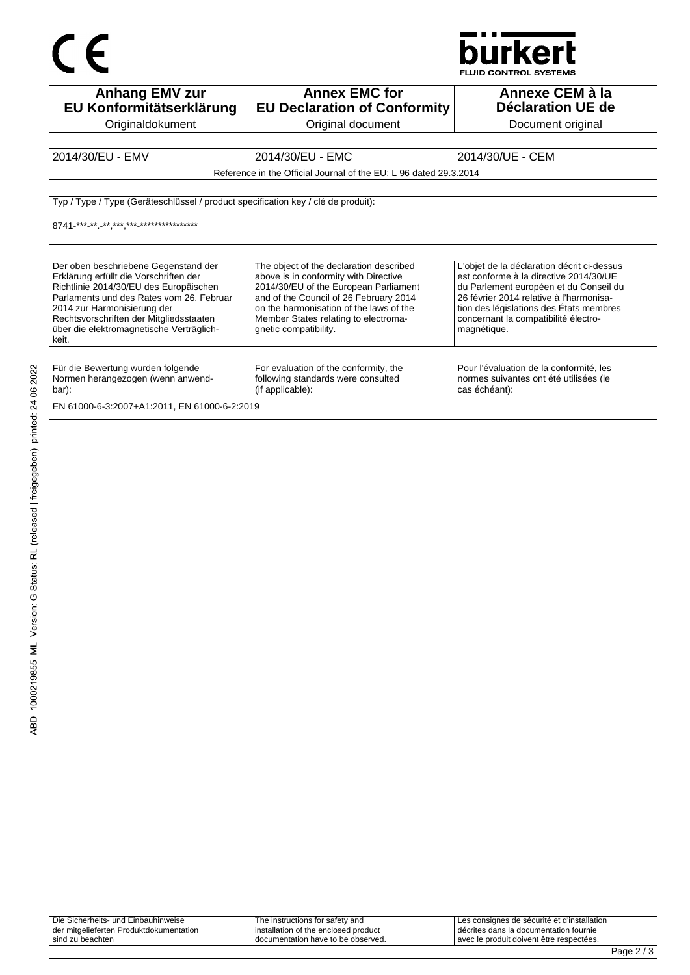# $C \in$



| <b>Anhang EMV zur</b><br>EU Konformitätserklärung                                                                                                                                                                                                                                                     | <b>Annex EMC for</b><br><b>EU Declaration of Conformity</b>                                                                                                                                                                                                                     | Annexe CEM à la<br>Déclaration UE de                                                                                                                                                                                                                                        |
|-------------------------------------------------------------------------------------------------------------------------------------------------------------------------------------------------------------------------------------------------------------------------------------------------------|---------------------------------------------------------------------------------------------------------------------------------------------------------------------------------------------------------------------------------------------------------------------------------|-----------------------------------------------------------------------------------------------------------------------------------------------------------------------------------------------------------------------------------------------------------------------------|
| Originaldokument                                                                                                                                                                                                                                                                                      | Original document                                                                                                                                                                                                                                                               | Document original                                                                                                                                                                                                                                                           |
|                                                                                                                                                                                                                                                                                                       |                                                                                                                                                                                                                                                                                 |                                                                                                                                                                                                                                                                             |
| 2014/30/EU - EMV                                                                                                                                                                                                                                                                                      | 2014/30/EU - EMC                                                                                                                                                                                                                                                                | 2014/30/UE - CEM                                                                                                                                                                                                                                                            |
|                                                                                                                                                                                                                                                                                                       | Reference in the Official Journal of the EU: L 96 dated 29.3.2014                                                                                                                                                                                                               |                                                                                                                                                                                                                                                                             |
| Typ / Type / Type (Geräteschlüssel / product specification key / clé de produit):<br>8741-***_**_-**,***,***_*****************                                                                                                                                                                        |                                                                                                                                                                                                                                                                                 |                                                                                                                                                                                                                                                                             |
| Der oben beschriebene Gegenstand der<br>Erklärung erfüllt die Vorschriften der<br>Richtlinie 2014/30/EU des Europäischen<br>Parlaments und des Rates vom 26. Februar<br>2014 zur Harmonisierung der<br>Rechtsvorschriften der Mitgliedsstaaten<br>über die elektromagnetische Verträglich-<br>  keit. | The object of the declaration described<br>above is in conformity with Directive<br>2014/30/EU of the European Parliament<br>and of the Council of 26 February 2014<br>on the harmonisation of the laws of the<br>Member States relating to electroma-<br>gnetic compatibility. | L'objet de la déclaration décrit ci-dessus<br>est conforme à la directive 2014/30/UE<br>du Parlement européen et du Conseil du<br>26 février 2014 relative à l'harmonisa-<br>tion des législations des États membres<br>concernant la compatibilité électro-<br>magnétique. |
| Für die Bewertung wurden folgende<br>Normen herangezogen (wenn anwend-<br>  bar):<br>EN 61000-6-3:2007+A1:2011, EN 61000-6-2:2019                                                                                                                                                                     | For evaluation of the conformity, the<br>following standards were consulted<br>(if applicable):                                                                                                                                                                                 | Pour l'évaluation de la conformité, les<br>normes suivantes ont été utilisées (le<br>cas échéant):                                                                                                                                                                          |

| Die Sicherheits- und Einbauhinweise     | The instructions for safety and        | Les consignes de sécurité et d'installation |
|-----------------------------------------|----------------------------------------|---------------------------------------------|
| der mitgelieferten Produktdokumentation | I installation of the enclosed product | l décrites dans la documentation fournie    |
| sind zu beachten                        | documentation have to be observed.     | l avec le produit doivent être respectées.  |
|                                         |                                        |                                             |